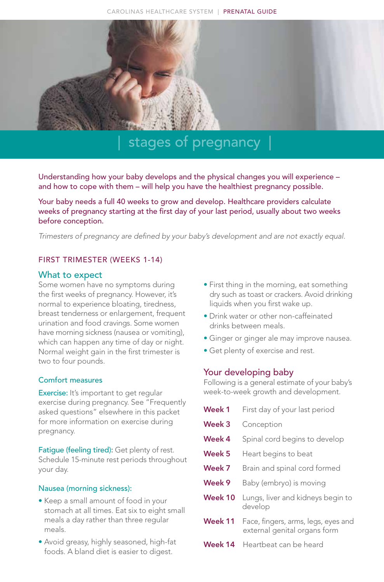

## stages of pregnancy |

Understanding how your baby develops and the physical changes you will experience – and how to cope with them – will help you have the healthiest pregnancy possible.

Your baby needs a full 40 weeks to grow and develop. Healthcare providers calculate weeks of pregnancy starting at the first day of your last period, usually about two weeks before conception.

*Trimesters of pregnancy are defined by your baby's development and are not exactly equal.* 

#### FIRST TRIMESTER (WEEKS 1-14)

#### What to expect

Some women have no symptoms during the first weeks of pregnancy. However, it's normal to experience bloating, tiredness, breast tenderness or enlargement, frequent urination and food cravings. Some women have morning sickness (nausea or vomiting), which can happen any time of day or night. Normal weight gain in the first trimester is two to four pounds.

#### Comfort measures

Exercise: It's important to get regular exercise during pregnancy. See "Frequently asked questions" elsewhere in this packet for more information on exercise during pregnancy.

Fatigue (feeling tired): Get plenty of rest. Schedule 15-minute rest periods throughout your day.

#### Nausea (morning sickness):

- Keep a small amount of food in your stomach at all times. Eat six to eight small meals a day rather than three regular meals.
- Avoid greasy, highly seasoned, high-fat foods. A bland diet is easier to digest.
- First thing in the morning, eat something dry such as toast or crackers. Avoid drinking liquids when you first wake up.
- Drink water or other non-caffeinated drinks between meals.
- Ginger or ginger ale may improve nausea.
- Get plenty of exercise and rest.

#### Your developing baby

Following is a general estimate of your baby's week-to-week growth and development.

| Week 1            | First day of your last period                                       |
|-------------------|---------------------------------------------------------------------|
| Week 3            | Conception                                                          |
| Week 4            | Spinal cord begins to develop                                       |
| Week <sub>5</sub> | Heart begins to beat                                                |
| Week 7            | Brain and spinal cord formed                                        |
| Week 9            | Baby (embryo) is moving                                             |
| Week 10           | Lungs, liver and kidneys begin to<br>develop                        |
| Week 11           | Face, fingers, arms, legs, eyes and<br>external genital organs form |
| Week 14           | Heartbeat can be heard                                              |
|                   |                                                                     |